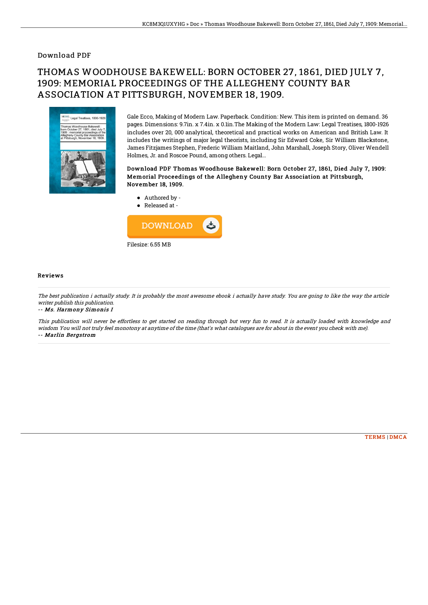### Download PDF

# THOMAS WOODHOUSE BAKEWELL: BORN OCTOBER 27, 1861, DIED JULY 7, 1909: MEMORIAL PROCEEDINGS OF THE ALLEGHENY COUNTY BAR ASSOCIATION AT PITTSBURGH, NOVEMBER 18, 1909.



Gale Ecco, Making of Modern Law. Paperback. Condition: New. This item is printed on demand. 36 pages. Dimensions: 9.7in. x 7.4in. x 0.1in.The Making of the Modern Law: Legal Treatises, 1800-1926 includes over 20, 000 analytical, theoretical and practical works on American and British Law. It includes the writings of major legal theorists, including Sir Edward Coke, Sir William Blackstone, James Fitzjames Stephen, Frederic William Maitland, John Marshall, Joseph Story, Oliver Wendell Holmes, Jr. and Roscoe Pound, among others. Legal...

#### Download PDF Thomas Woodhouse Bakewell: Born October 27, 1861, Died July 7, 1909: Memorial Proceedings of the Allegheny County Bar Association at Pittsburgh, November 18, 1909.

- Authored by -
- Released at -



#### Reviews

The best publication i actually study. It is probably the most awesome ebook i actually have study. You are going to like the way the article writer publish this publication.

-- Ms. Harmony Simonis I

This publication will never be effortless to get started on reading through but very fun to read. It is actually loaded with knowledge and wisdom You will not truly feel monotony at anytime of the time (that's what catalogues are for about in the event you check with me). -- Marlin Bergstrom